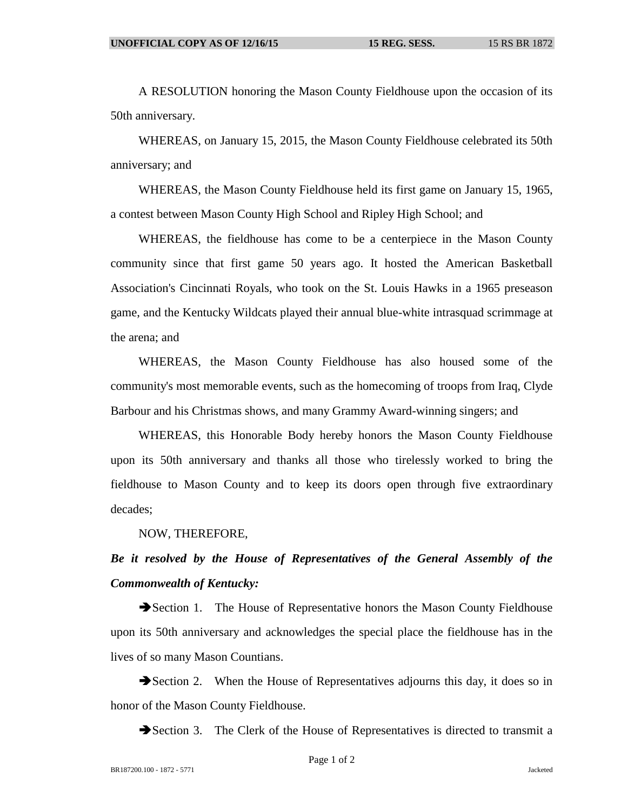A RESOLUTION honoring the Mason County Fieldhouse upon the occasion of its 50th anniversary.

WHEREAS, on January 15, 2015, the Mason County Fieldhouse celebrated its 50th anniversary; and

WHEREAS, the Mason County Fieldhouse held its first game on January 15, 1965, a contest between Mason County High School and Ripley High School; and

WHEREAS, the fieldhouse has come to be a centerpiece in the Mason County community since that first game 50 years ago. It hosted the American Basketball Association's Cincinnati Royals, who took on the St. Louis Hawks in a 1965 preseason game, and the Kentucky Wildcats played their annual blue-white intrasquad scrimmage at the arena; and

WHEREAS, the Mason County Fieldhouse has also housed some of the community's most memorable events, such as the homecoming of troops from Iraq, Clyde Barbour and his Christmas shows, and many Grammy Award-winning singers; and

WHEREAS, this Honorable Body hereby honors the Mason County Fieldhouse upon its 50th anniversary and thanks all those who tirelessly worked to bring the fieldhouse to Mason County and to keep its doors open through five extraordinary decades;

NOW, THEREFORE,

## *Be it resolved by the House of Representatives of the General Assembly of the Commonwealth of Kentucky:*

Section 1. The House of Representative honors the Mason County Fieldhouse upon its 50th anniversary and acknowledges the special place the fieldhouse has in the lives of so many Mason Countians.

Section 2. When the House of Representatives adjourns this day, it does so in honor of the Mason County Fieldhouse.

Section 3. The Clerk of the House of Representatives is directed to transmit a